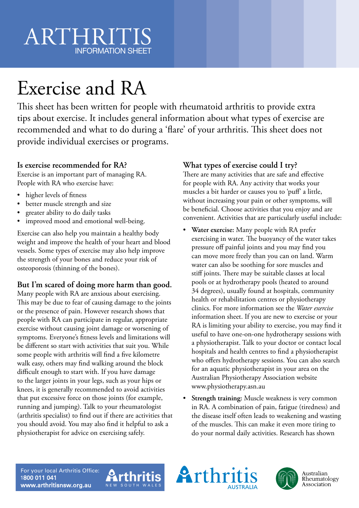# ARTHRIT INFORMATION SHEET

# Exercise and RA

This sheet has been written for people with rheumatoid arthritis to provide extra tips about exercise. It includes general information about what types of exercise are recommended and what to do during a 'flare' of your arthritis. This sheet does not provide individual exercises or programs.

### **Is exercise recommended for RA?**

Exercise is an important part of managing RA. People with RA who exercise have:

- higher levels of fitness
- better muscle strength and size
- greater ability to do daily tasks
- improved mood and emotional well-being.

Exercise can also help you maintain a healthy body weight and improve the health of your heart and blood vessels. Some types of exercise may also help improve the strength of your bones and reduce your risk of osteoporosis (thinning of the bones).

### **But I'm scared of doing more harm than good.**

Many people with RA are anxious about exercising. This may be due to fear of causing damage to the joints or the presence of pain. However research shows that people with RA can participate in regular, appropriate exercise without causing joint damage or worsening of symptoms. Everyone's fitness levels and limitations will be different so start with activities that suit you. While some people with arthritis will find a five kilometre walk easy, others may find walking around the block difficult enough to start with. If you have damage to the larger joints in your legs, such as your hips or knees, it is generally recommended to avoid activities that put excessive force on those joints (for example, running and jumping). Talk to your rheumatologist (arthritis specialist) to find out if there are activities that you should avoid. You may also find it helpful to ask a physiotherapist for advice on exercising safely.

## **What types of exercise could I try?**

There are many activities that are safe and effective for people with RA. Any activity that works your muscles a bit harder or causes you to 'puff' a little, without increasing your pain or other symptoms, will be beneficial. Choose activities that you enjoy and are convenient. Activities that are particularly useful include:

- **Water exercise:** Many people with RA prefer exercising in water. The buoyancy of the water takes pressure off painful joints and you may find you can move more freely than you can on land. Warm water can also be soothing for sore muscles and stiff joints. There may be suitable classes at local pools or at hydrotherapy pools (heated to around 34 degrees), usually found at hospitals, community health or rehabilitation centres or physiotherapy clinics. For more information see the *Water exercise* information sheet. If you are new to exercise or your RA is limiting your ability to exercise, you may find it useful to have one-on-one hydrotherapy sessions with a physiotherapist. Talk to your doctor or contact local hospitals and health centres to find a physiotherapist who offers hydrotherapy sessions. You can also search for an aquatic physiotherapist in your area on the Australian Physiotherapy Association website www.physiotherapy.asn.au
- **Strength training:** Muscle weakness is very common in RA. A combination of pain, fatigue (tiredness) and the disease itself often leads to weakening and wasting of the muscles. This can make it even more tiring to do your normal daily activities. Research has shown